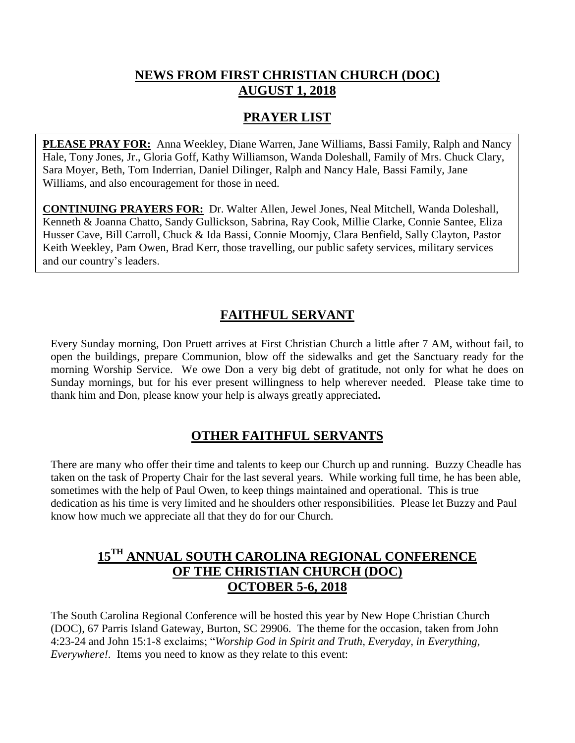## **NEWS FROM FIRST CHRISTIAN CHURCH (DOC) AUGUST 1, 2018**

# **PRAYER LIST**

**PLEASE PRAY FOR:** Anna Weekley, Diane Warren, Jane Williams, Bassi Family, Ralph and Nancy Hale, Tony Jones, Jr., Gloria Goff, Kathy Williamson, Wanda Doleshall, Family of Mrs. Chuck Clary, Sara Moyer, Beth, Tom Inderrian, Daniel Dilinger, Ralph and Nancy Hale, Bassi Family, Jane Williams, and also encouragement for those in need.

**CONTINUING PRAYERS FOR:** Dr. Walter Allen, Jewel Jones, Neal Mitchell, Wanda Doleshall, Kenneth & Joanna Chatto, Sandy Gullickson, Sabrina, Ray Cook, Millie Clarke, Connie Santee, Eliza Husser Cave, Bill Carroll, Chuck & Ida Bassi, Connie Moomjy, Clara Benfield, Sally Clayton, Pastor Keith Weekley, Pam Owen, Brad Kerr, those travelling, our public safety services, military services and our country's leaders.

# **FAITHFUL SERVANT**

Every Sunday morning, Don Pruett arrives at First Christian Church a little after 7 AM, without fail, to open the buildings, prepare Communion, blow off the sidewalks and get the Sanctuary ready for the morning Worship Service. We owe Don a very big debt of gratitude, not only for what he does on Sunday mornings, but for his ever present willingness to help wherever needed. Please take time to thank him and Don, please know your help is always greatly appreciated**.**

# **OTHER FAITHFUL SERVANTS**

There are many who offer their time and talents to keep our Church up and running. Buzzy Cheadle has taken on the task of Property Chair for the last several years. While working full time, he has been able, sometimes with the help of Paul Owen, to keep things maintained and operational. This is true dedication as his time is very limited and he shoulders other responsibilities. Please let Buzzy and Paul know how much we appreciate all that they do for our Church.

## **15TH ANNUAL SOUTH CAROLINA REGIONAL CONFERENCE OF THE CHRISTIAN CHURCH (DOC) OCTOBER 5-6, 2018**

The South Carolina Regional Conference will be hosted this year by New Hope Christian Church (DOC), 67 Parris Island Gateway, Burton, SC 29906. The theme for the occasion, taken from John 4:23-24 and John 15:1-8 exclaims; "*Worship God in Spirit and Truth, Everyday, in Everything, Everywhere!.* Items you need to know as they relate to this event: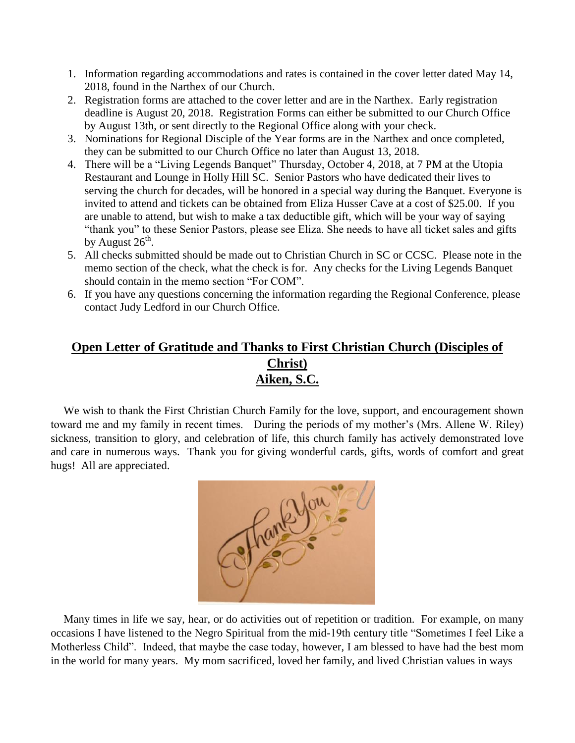- 1. Information regarding accommodations and rates is contained in the cover letter dated May 14, 2018, found in the Narthex of our Church.
- 2. Registration forms are attached to the cover letter and are in the Narthex. Early registration deadline is August 20, 2018. Registration Forms can either be submitted to our Church Office by August 13th, or sent directly to the Regional Office along with your check.
- 3. Nominations for Regional Disciple of the Year forms are in the Narthex and once completed, they can be submitted to our Church Office no later than August 13, 2018.
- 4. There will be a "Living Legends Banquet" Thursday, October 4, 2018, at 7 PM at the Utopia Restaurant and Lounge in Holly Hill SC. Senior Pastors who have dedicated their lives to serving the church for decades, will be honored in a special way during the Banquet. Everyone is invited to attend and tickets can be obtained from Eliza Husser Cave at a cost of \$25.00. If you are unable to attend, but wish to make a tax deductible gift, which will be your way of saying "thank you" to these Senior Pastors, please see Eliza. She needs to have all ticket sales and gifts by August  $26^{\text{th}}$ .
- 5. All checks submitted should be made out to Christian Church in SC or CCSC. Please note in the memo section of the check, what the check is for. Any checks for the Living Legends Banquet should contain in the memo section "For COM".
- 6. If you have any questions concerning the information regarding the Regional Conference, please contact Judy Ledford in our Church Office.

# **Open Letter of Gratitude and Thanks to First Christian Church (Disciples of Christ) Aiken, S.C.**

 We wish to thank the First Christian Church Family for the love, support, and encouragement shown toward me and my family in recent times. During the periods of my mother's (Mrs. Allene W. Riley) sickness, transition to glory, and celebration of life, this church family has actively demonstrated love and care in numerous ways. Thank you for giving wonderful cards, gifts, words of comfort and great hugs! All are appreciated.



 Many times in life we say, hear, or do activities out of repetition or tradition. For example, on many occasions I have listened to the Negro Spiritual from the mid-19th century title "Sometimes I feel Like a Motherless Child". Indeed, that maybe the case today, however, I am blessed to have had the best mom in the world for many years. My mom sacrificed, loved her family, and lived Christian values in ways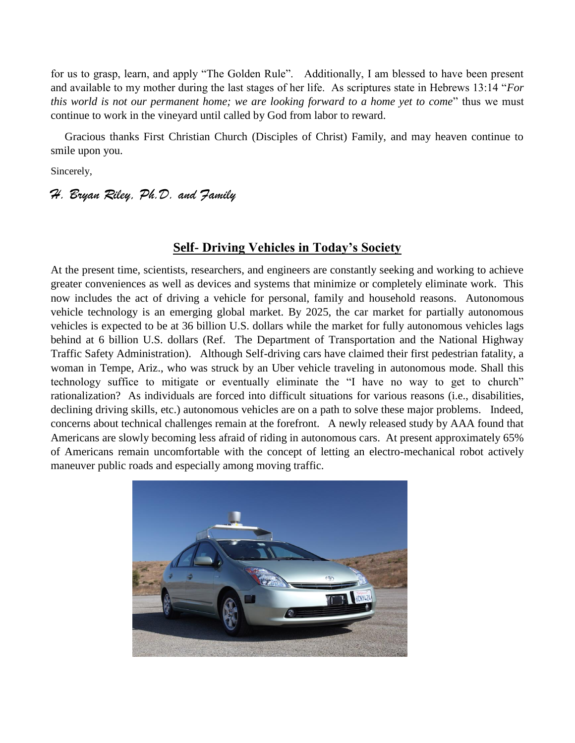for us to grasp, learn, and apply "The Golden Rule". Additionally, I am blessed to have been present and available to my mother during the last stages of her life. As scriptures state in Hebrews 13:14 "*For this world is not our permanent home; we are looking forward to a home yet to come*" thus we must continue to work in the vineyard until called by God from labor to reward.

 Gracious thanks First Christian Church (Disciples of Christ) Family, and may heaven continue to smile upon you.

Sincerely,

### *H. Bryan Riley, Ph.D. and Family*

#### **Self- Driving Vehicles in Today's Society**

At the present time, scientists, researchers, and engineers are constantly seeking and working to achieve greater conveniences as well as devices and systems that minimize or completely eliminate work. This now includes the act of driving a vehicle for personal, family and household reasons. Autonomous vehicle technology is an emerging global market. By 2025, the car market for partially autonomous vehicles is expected to be at 36 billion U.S. dollars while the market for fully autonomous vehicles lags behind at 6 billion U.S. dollars (Ref. The Department of Transportation and the National Highway Traffic Safety Administration). Although Self-driving cars have claimed their first pedestrian fatality, a woman in Tempe, Ariz., who was struck by an Uber vehicle traveling in autonomous mode. Shall this technology suffice to mitigate or eventually eliminate the "I have no way to get to church" rationalization? As individuals are forced into difficult situations for various reasons (i.e., disabilities, declining driving skills, etc.) autonomous vehicles are on a path to solve these major problems. Indeed, concerns about technical challenges remain at the forefront. A newly released study by AAA found that Americans are slowly becoming less afraid of riding in autonomous cars. At present approximately 65% of Americans remain uncomfortable with the concept of letting an electro-mechanical robot actively maneuver public roads and especially among moving traffic.

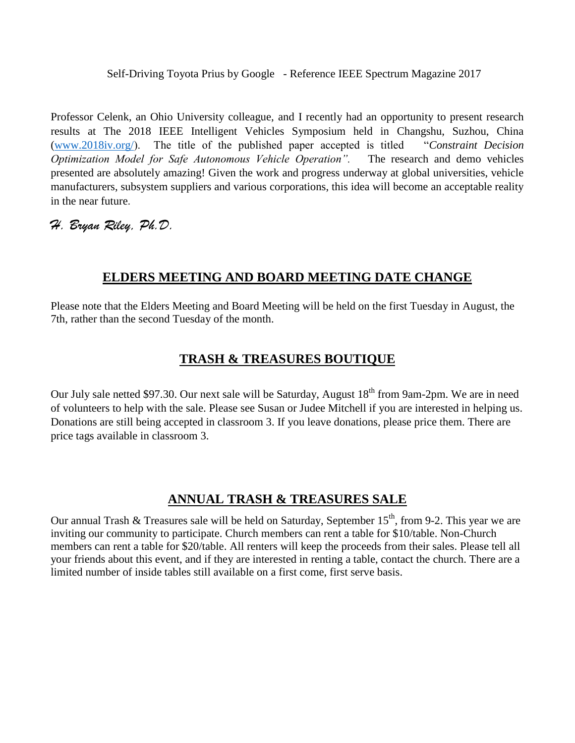Self-Driving Toyota Prius by Google - Reference IEEE Spectrum Magazine 2017

Professor Celenk, an Ohio University colleague, and I recently had an opportunity to present research results at The 2018 IEEE Intelligent Vehicles Symposium held in Changshu, Suzhou, China [\(www.2018iv.org/\)](http://www.2018iv.org/). The title of the published paper accepted is titled "*Constraint Decision Optimization Model for Safe Autonomous Vehicle Operation".* The research and demo vehicles presented are absolutely amazing! Given the work and progress underway at global universities, vehicle manufacturers, subsystem suppliers and various corporations, this idea will become an acceptable reality in the near future.

### *H. Bryan Riley, Ph.D.*

## **ELDERS MEETING AND BOARD MEETING DATE CHANGE**

Please note that the Elders Meeting and Board Meeting will be held on the first Tuesday in August, the 7th, rather than the second Tuesday of the month.

### **TRASH & TREASURES BOUTIQUE**

Our July sale netted \$97.30. Our next sale will be Saturday, August 18<sup>th</sup> from 9am-2pm. We are in need of volunteers to help with the sale. Please see Susan or Judee Mitchell if you are interested in helping us. Donations are still being accepted in classroom 3. If you leave donations, please price them. There are price tags available in classroom 3.

# **ANNUAL TRASH & TREASURES SALE**

Our annual Trash & Treasures sale will be held on Saturday, September  $15<sup>th</sup>$ , from 9-2. This year we are inviting our community to participate. Church members can rent a table for \$10/table. Non-Church members can rent a table for \$20/table. All renters will keep the proceeds from their sales. Please tell all your friends about this event, and if they are interested in renting a table, contact the church. There are a limited number of inside tables still available on a first come, first serve basis.